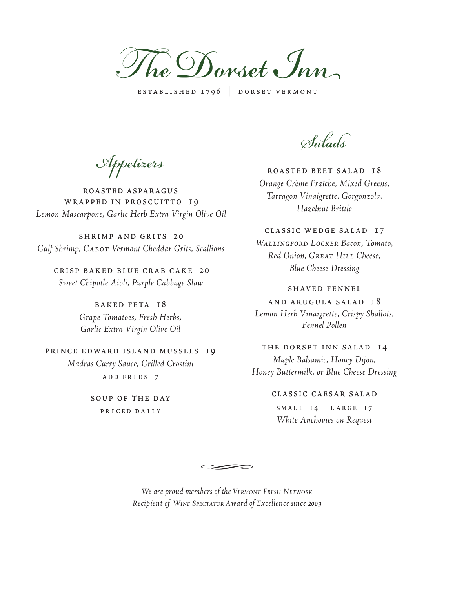T *heDorset Inn*

established 1796 | dorset vermont

*Appetizers*

roasted asparagus wrapped in proscuitto 19 *Lemon Mascarpone, Garlic Herb Extra Virgin Olive Oil*

shrimp and grits 20 *Gulf Shrimp, Cabot Vermont Cheddar Grits, Scallions*

crisp baked blue crab cake 20 *Sweet Chipotle Aioli, Purple Cabbage Slaw*

> baked feta 18 *Grape Tomatoes, Fresh Herbs, Garlic Extra Virgin Olive Oil*

**<sup>P</sup>**rince edward island mussels 19 *Madras Curry Sauce, Grilled Crostini* add fr i e s 7

> soup of the day pr i ced da i ly

*Salads*

roasted beet salad 18 *Orange Crème Fraîche, Mixed Greens, Tarragon Vinaigrette, Gorgonzola, Hazelnut Brittle*

classic wedge salad 17 *Wallingford Locker Bacon, Tomato, Red Onion, Great Hill Cheese, Blue Cheese Dressing* 

and arugula salad 18 *Lemon Herb Vinaigrette, Crispy Shallots, Fennel Pollen* 

shaved fennel

the dorset inn salad 14 *Maple Balsamic, Honey Dijon, Honey Buttermilk, or Blue Cheese Dressing* 

classic caesar salad

SMALL 14 LARGE 17 *White Anchovies on Request* 

 $\overline{\mathcal{S}}$ *We are proud members of the Vermont Fresh network Recipient of wine spectator Award of Excellence since 2009*